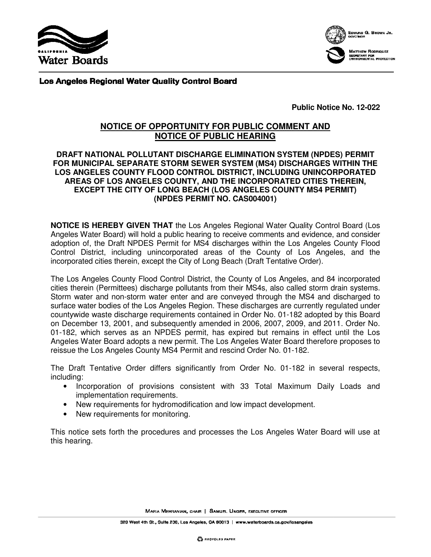



Los Angeles Regional Water Quality Control Board

**Public Notice No. 12-022** 

# **NOTICE OF OPPORTUNITY FOR PUBLIC COMMENT AND NOTICE OF PUBLIC HEARING**

#### **DRAFT NATIONAL POLLUTANT DISCHARGE ELIMINATION SYSTEM (NPDES) PERMIT FOR MUNICIPAL SEPARATE STORM SEWER SYSTEM (MS4) DISCHARGES WITHIN THE LOS ANGELES COUNTY FLOOD CONTROL DISTRICT, INCLUDING UNINCORPORATED AREAS OF LOS ANGELES COUNTY, AND THE INCORPORATED CITIES THEREIN, EXCEPT THE CITY OF LONG BEACH (LOS ANGELES COUNTY MS4 PERMIT) (NPDES PERMIT NO. CAS004001)**

**NOTICE IS HEREBY GIVEN THAT** the Los Angeles Regional Water Quality Control Board (Los Angeles Water Board) will hold a public hearing to receive comments and evidence, and consider adoption of, the Draft NPDES Permit for MS4 discharges within the Los Angeles County Flood Control District, including unincorporated areas of the County of Los Angeles, and the incorporated cities therein, except the City of Long Beach (Draft Tentative Order).

The Los Angeles County Flood Control District, the County of Los Angeles, and 84 incorporated cities therein (Permittees) discharge pollutants from their MS4s, also called storm drain systems. Storm water and non-storm water enter and are conveyed through the MS4 and discharged to surface water bodies of the Los Angeles Region. These discharges are currently regulated under countywide waste discharge requirements contained in Order No. 01-182 adopted by this Board on December 13, 2001, and subsequently amended in 2006, 2007, 2009, and 2011. Order No. 01-182, which serves as an NPDES permit, has expired but remains in effect until the Los Angeles Water Board adopts a new permit. The Los Angeles Water Board therefore proposes to reissue the Los Angeles County MS4 Permit and rescind Order No. 01-182.

The Draft Tentative Order differs significantly from Order No. 01-182 in several respects, including:

- Incorporation of provisions consistent with 33 Total Maximum Daily Loads and implementation requirements.
- New requirements for hydromodification and low impact development.
- New requirements for monitoring.

This notice sets forth the procedures and processes the Los Angeles Water Board will use at this hearing.

MARIA MEHRANIAN, CHAIR | SAMUEL UNGER, EXECUTIVE OFFICER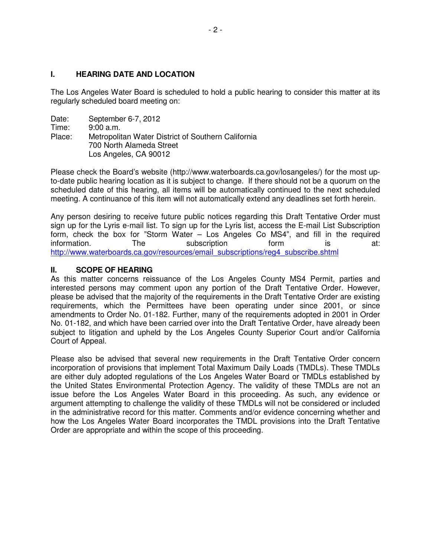## **I. HEARING DATE AND LOCATION**

The Los Angeles Water Board is scheduled to hold a public hearing to consider this matter at its regularly scheduled board meeting on:

| Date:  | September 6-7, 2012                                |
|--------|----------------------------------------------------|
| Time:  | 9:00 a.m.                                          |
| Place: | Metropolitan Water District of Southern California |
|        | 700 North Alameda Street                           |
|        | Los Angeles, CA 90012                              |

Please check the Board's website (http://www.waterboards.ca.gov/losangeles/) for the most upto-date public hearing location as it is subject to change. If there should not be a quorum on the scheduled date of this hearing, all items will be automatically continued to the next scheduled meeting. A continuance of this item will not automatically extend any deadlines set forth herein.

Any person desiring to receive future public notices regarding this Draft Tentative Order must sign up for the Lyris e-mail list. To sign up for the Lyris list, access the E-mail List Subscription form, check the box for "Storm Water – Los Angeles Co MS4", and fill in the required information. The subscription form is at: http://www.waterboards.ca.gov/resources/email\_subscriptions/reg4\_subscribe.shtml

#### **II. SCOPE OF HEARING**

As this matter concerns reissuance of the Los Angeles County MS4 Permit, parties and interested persons may comment upon any portion of the Draft Tentative Order. However, please be advised that the majority of the requirements in the Draft Tentative Order are existing requirements, which the Permittees have been operating under since 2001, or since amendments to Order No. 01-182. Further, many of the requirements adopted in 2001 in Order No. 01-182, and which have been carried over into the Draft Tentative Order, have already been subject to litigation and upheld by the Los Angeles County Superior Court and/or California Court of Appeal.

Please also be advised that several new requirements in the Draft Tentative Order concern incorporation of provisions that implement Total Maximum Daily Loads (TMDLs). These TMDLs are either duly adopted regulations of the Los Angeles Water Board or TMDLs established by the United States Environmental Protection Agency. The validity of these TMDLs are not an issue before the Los Angeles Water Board in this proceeding. As such, any evidence or argument attempting to challenge the validity of these TMDLs will not be considered or included in the administrative record for this matter. Comments and/or evidence concerning whether and how the Los Angeles Water Board incorporates the TMDL provisions into the Draft Tentative Order are appropriate and within the scope of this proceeding.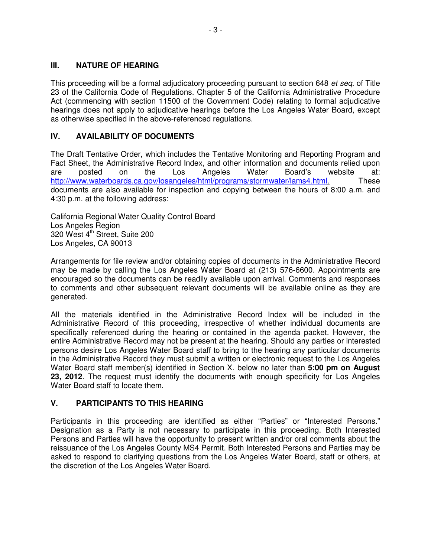## **III. NATURE OF HEARING**

This proceeding will be a formal adjudicatory proceeding pursuant to section 648 et seq. of Title 23 of the California Code of Regulations. Chapter 5 of the California Administrative Procedure Act (commencing with section 11500 of the Government Code) relating to formal adjudicative hearings does not apply to adjudicative hearings before the Los Angeles Water Board, except as otherwise specified in the above-referenced regulations.

# **IV. AVAILABILITY OF DOCUMENTS**

The Draft Tentative Order, which includes the Tentative Monitoring and Reporting Program and Fact Sheet, the Administrative Record Index, and other information and documents relied upon are posted on the Los Angeles Water Board's website at: http://www.waterboards.ca.gov/losangeles/html/programs/stormwater/lams4.html. These documents are also available for inspection and copying between the hours of 8:00 a.m. and 4:30 p.m. at the following address:

California Regional Water Quality Control Board Los Angeles Region 320 West 4<sup>th</sup> Street, Suite 200 Los Angeles, CA 90013

Arrangements for file review and/or obtaining copies of documents in the Administrative Record may be made by calling the Los Angeles Water Board at (213) 576-6600. Appointments are encouraged so the documents can be readily available upon arrival. Comments and responses to comments and other subsequent relevant documents will be available online as they are generated.

All the materials identified in the Administrative Record Index will be included in the Administrative Record of this proceeding, irrespective of whether individual documents are specifically referenced during the hearing or contained in the agenda packet. However, the entire Administrative Record may not be present at the hearing. Should any parties or interested persons desire Los Angeles Water Board staff to bring to the hearing any particular documents in the Administrative Record they must submit a written or electronic request to the Los Angeles Water Board staff member(s) identified in Section X. below no later than **5:00 pm on August 23, 2012**. The request must identify the documents with enough specificity for Los Angeles Water Board staff to locate them.

# **V. PARTICIPANTS TO THIS HEARING**

Participants in this proceeding are identified as either "Parties" or "Interested Persons." Designation as a Party is not necessary to participate in this proceeding. Both Interested Persons and Parties will have the opportunity to present written and/or oral comments about the reissuance of the Los Angeles County MS4 Permit. Both Interested Persons and Parties may be asked to respond to clarifying questions from the Los Angeles Water Board, staff or others, at the discretion of the Los Angeles Water Board.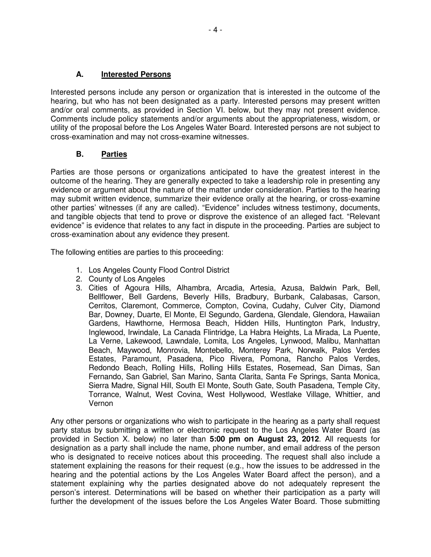## **A. Interested Persons**

Interested persons include any person or organization that is interested in the outcome of the hearing, but who has not been designated as a party. Interested persons may present written and/or oral comments, as provided in Section VI. below, but they may not present evidence. Comments include policy statements and/or arguments about the appropriateness, wisdom, or utility of the proposal before the Los Angeles Water Board. Interested persons are not subject to cross-examination and may not cross-examine witnesses.

## **B. Parties**

Parties are those persons or organizations anticipated to have the greatest interest in the outcome of the hearing. They are generally expected to take a leadership role in presenting any evidence or argument about the nature of the matter under consideration. Parties to the hearing may submit written evidence, summarize their evidence orally at the hearing, or cross-examine other parties' witnesses (if any are called). "Evidence" includes witness testimony, documents, and tangible objects that tend to prove or disprove the existence of an alleged fact. "Relevant evidence" is evidence that relates to any fact in dispute in the proceeding. Parties are subject to cross-examination about any evidence they present.

The following entities are parties to this proceeding:

- 1. Los Angeles County Flood Control District
- 2. County of Los Angeles
- 3. Cities of Agoura Hills, Alhambra, Arcadia, Artesia, Azusa, Baldwin Park, Bell, Bellflower, Bell Gardens, Beverly Hills, Bradbury, Burbank, Calabasas, Carson, Cerritos, Claremont, Commerce, Compton, Covina, Cudahy, Culver City, Diamond Bar, Downey, Duarte, El Monte, El Segundo, Gardena, Glendale, Glendora, Hawaiian Gardens, Hawthorne, Hermosa Beach, Hidden Hills, Huntington Park, Industry, Inglewood, Irwindale, La Canada Flintridge, La Habra Heights, La Mirada, La Puente, La Verne, Lakewood, Lawndale, Lomita, Los Angeles, Lynwood, Malibu, Manhattan Beach, Maywood, Monrovia, Montebello, Monterey Park, Norwalk, Palos Verdes Estates, Paramount, Pasadena, Pico Rivera, Pomona, Rancho Palos Verdes, Redondo Beach, Rolling Hills, Rolling Hills Estates, Rosemead, San Dimas, San Fernando, San Gabriel, San Marino, Santa Clarita, Santa Fe Springs, Santa Monica, Sierra Madre, Signal Hill, South El Monte, South Gate, South Pasadena, Temple City, Torrance, Walnut, West Covina, West Hollywood, Westlake Village, Whittier, and Vernon

Any other persons or organizations who wish to participate in the hearing as a party shall request party status by submitting a written or electronic request to the Los Angeles Water Board (as provided in Section X. below) no later than **5:00 pm on August 23, 2012**. All requests for designation as a party shall include the name, phone number, and email address of the person who is designated to receive notices about this proceeding. The request shall also include a statement explaining the reasons for their request (e.g., how the issues to be addressed in the hearing and the potential actions by the Los Angeles Water Board affect the person), and a statement explaining why the parties designated above do not adequately represent the person's interest. Determinations will be based on whether their participation as a party will further the development of the issues before the Los Angeles Water Board. Those submitting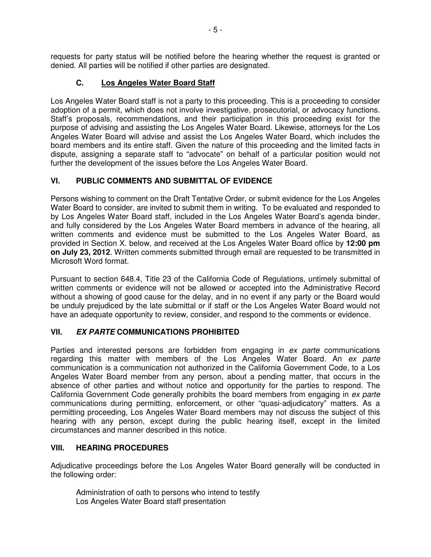requests for party status will be notified before the hearing whether the request is granted or denied. All parties will be notified if other parties are designated.

# **C. Los Angeles Water Board Staff**

Los Angeles Water Board staff is not a party to this proceeding. This is a proceeding to consider adoption of a permit, which does not involve investigative, prosecutorial, or advocacy functions. Staff's proposals, recommendations, and their participation in this proceeding exist for the purpose of advising and assisting the Los Angeles Water Board. Likewise, attorneys for the Los Angeles Water Board will advise and assist the Los Angeles Water Board, which includes the board members and its entire staff. Given the nature of this proceeding and the limited facts in dispute, assigning a separate staff to "advocate" on behalf of a particular position would not further the development of the issues before the Los Angeles Water Board.

## **VI. PUBLIC COMMENTS AND SUBMITTAL OF EVIDENCE**

Persons wishing to comment on the Draft Tentative Order, or submit evidence for the Los Angeles Water Board to consider, are invited to submit them in writing. To be evaluated and responded to by Los Angeles Water Board staff, included in the Los Angeles Water Board's agenda binder, and fully considered by the Los Angeles Water Board members in advance of the hearing, all written comments and evidence must be submitted to the Los Angeles Water Board, as provided in Section X. below, and received at the Los Angeles Water Board office by **12:00 pm on July 23, 2012**. Written comments submitted through email are requested to be transmitted in Microsoft Word format.

Pursuant to section 648.4, Title 23 of the California Code of Regulations, untimely submittal of written comments or evidence will not be allowed or accepted into the Administrative Record without a showing of good cause for the delay, and in no event if any party or the Board would be unduly prejudiced by the late submittal or if staff or the Los Angeles Water Board would not have an adequate opportunity to review, consider, and respond to the comments or evidence.

# **VII. EX PARTE COMMUNICATIONS PROHIBITED**

Parties and interested persons are forbidden from engaging in ex parte communications regarding this matter with members of the Los Angeles Water Board. An ex parte communication is a communication not authorized in the California Government Code, to a Los Angeles Water Board member from any person, about a pending matter, that occurs in the absence of other parties and without notice and opportunity for the parties to respond. The California Government Code generally prohibits the board members from engaging in ex parte communications during permitting, enforcement, or other "quasi-adjudicatory" matters. As a permitting proceeding, Los Angeles Water Board members may not discuss the subject of this hearing with any person, except during the public hearing itself, except in the limited circumstances and manner described in this notice.

### **VIII. HEARING PROCEDURES**

Adjudicative proceedings before the Los Angeles Water Board generally will be conducted in the following order:

Administration of oath to persons who intend to testify Los Angeles Water Board staff presentation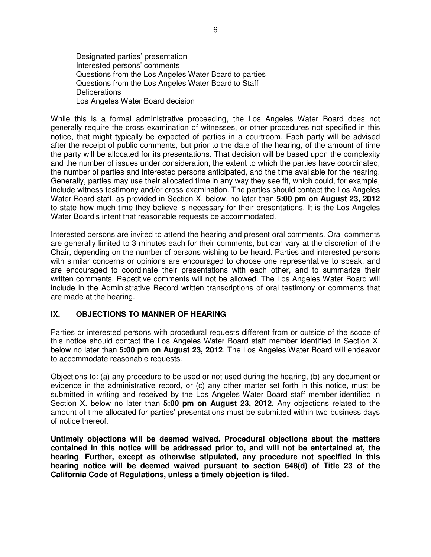Designated parties' presentation Interested persons' comments Questions from the Los Angeles Water Board to parties Questions from the Los Angeles Water Board to Staff **Deliberations** Los Angeles Water Board decision

While this is a formal administrative proceeding, the Los Angeles Water Board does not generally require the cross examination of witnesses, or other procedures not specified in this notice, that might typically be expected of parties in a courtroom. Each party will be advised after the receipt of public comments, but prior to the date of the hearing, of the amount of time the party will be allocated for its presentations. That decision will be based upon the complexity and the number of issues under consideration, the extent to which the parties have coordinated, the number of parties and interested persons anticipated, and the time available for the hearing. Generally, parties may use their allocated time in any way they see fit, which could, for example, include witness testimony and/or cross examination. The parties should contact the Los Angeles Water Board staff, as provided in Section X. below, no later than **5:00 pm on August 23, 2012**  to state how much time they believe is necessary for their presentations. It is the Los Angeles Water Board's intent that reasonable requests be accommodated.

Interested persons are invited to attend the hearing and present oral comments. Oral comments are generally limited to 3 minutes each for their comments, but can vary at the discretion of the Chair, depending on the number of persons wishing to be heard. Parties and interested persons with similar concerns or opinions are encouraged to choose one representative to speak, and are encouraged to coordinate their presentations with each other, and to summarize their written comments. Repetitive comments will not be allowed. The Los Angeles Water Board will include in the Administrative Record written transcriptions of oral testimony or comments that are made at the hearing.

### **IX. OBJECTIONS TO MANNER OF HEARING**

Parties or interested persons with procedural requests different from or outside of the scope of this notice should contact the Los Angeles Water Board staff member identified in Section X. below no later than **5:00 pm on August 23, 2012**. The Los Angeles Water Board will endeavor to accommodate reasonable requests.

Objections to: (a) any procedure to be used or not used during the hearing, (b) any document or evidence in the administrative record, or (c) any other matter set forth in this notice, must be submitted in writing and received by the Los Angeles Water Board staff member identified in Section X. below no later than **5:00 pm on August 23, 2012**. Any objections related to the amount of time allocated for parties' presentations must be submitted within two business days of notice thereof.

**Untimely objections will be deemed waived. Procedural objections about the matters contained in this notice will be addressed prior to, and will not be entertained at, the hearing**. **Further, except as otherwise stipulated, any procedure not specified in this hearing notice will be deemed waived pursuant to section 648(d) of Title 23 of the California Code of Regulations, unless a timely objection is filed.**